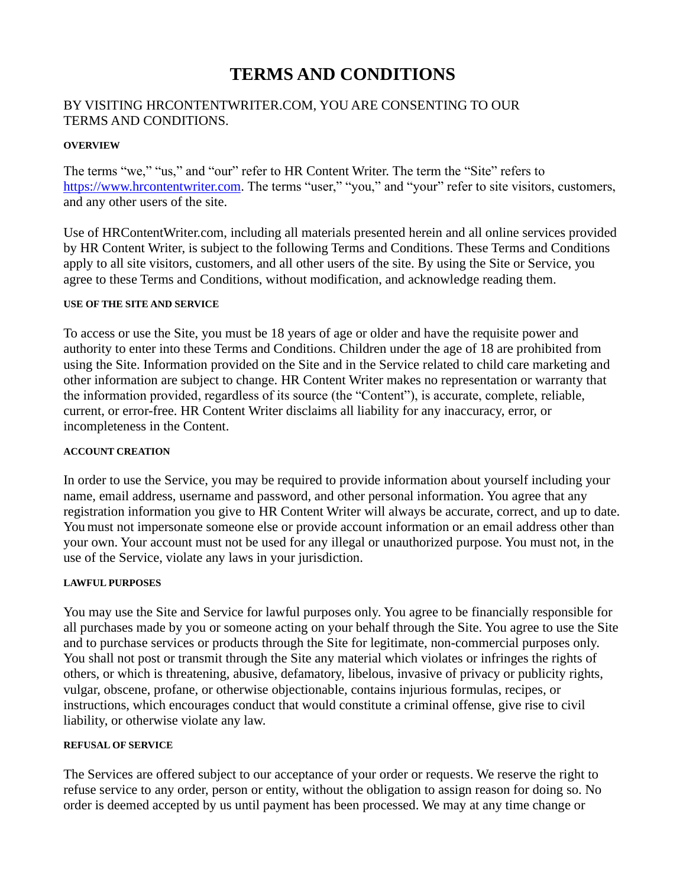# **TERMS AND CONDITIONS**

# BY VISITING HRCONTENTWRITER.COM, YOU ARE CONSENTING TO OUR TERMS AND CONDITIONS.

## **OVERVIEW**

The terms "we," "us," and "our" refer to HR Content Writer. The term the "Site" refers to [https://www.hrcontentwriter.com.](https://www.hrcontentwriter.com/) The terms "user," "you," and "your" refer to site visitors, customers, and any other users of the site.

Use of HRContentWriter.com, including all materials presented herein and all online services provided by HR Content Writer, is subject to the following Terms and Conditions. These Terms and Conditions apply to all site visitors, customers, and all other users of the site. By using the Site or Service, you agree to these Terms and Conditions, without modification, and acknowledge reading them.

#### **USE OF THE SITE AND SERVICE**

To access or use the Site, you must be 18 years of age or older and have the requisite power and authority to enter into these Terms and Conditions. Children under the age of 18 are prohibited from using the Site. Information provided on the Site and in the Service related to child care marketing and other information are subject to change. HR Content Writer makes no representation or warranty that the information provided, regardless of its source (the "Content"), is accurate, complete, reliable, current, or error-free. HR Content Writer disclaims all liability for any inaccuracy, error, or incompleteness in the Content.

## **ACCOUNT CREATION**

In order to use the Service, you may be required to provide information about yourself including your name, email address, username and password, and other personal information. You agree that any registration information you give to HR Content Writer will always be accurate, correct, and up to date. Youmust not impersonate someone else or provide account information or an email address other than your own. Your account must not be used for any illegal or unauthorized purpose. You must not, in the use of the Service, violate any laws in your jurisdiction.

## **LAWFUL PURPOSES**

You may use the Site and Service for lawful purposes only. You agree to be financially responsible for all purchases made by you or someone acting on your behalf through the Site. You agree to use the Site and to purchase services or products through the Site for legitimate, non-commercial purposes only. You shall not post or transmit through the Site any material which violates or infringes the rights of others, or which is threatening, abusive, defamatory, libelous, invasive of privacy or publicity rights, vulgar, obscene, profane, or otherwise objectionable, contains injurious formulas, recipes, or instructions, which encourages conduct that would constitute a criminal offense, give rise to civil liability, or otherwise violate any law.

#### **REFUSAL OF SERVICE**

The Services are offered subject to our acceptance of your order or requests. We reserve the right to refuse service to any order, person or entity, without the obligation to assign reason for doing so. No order is deemed accepted by us until payment has been processed. We may at any time change or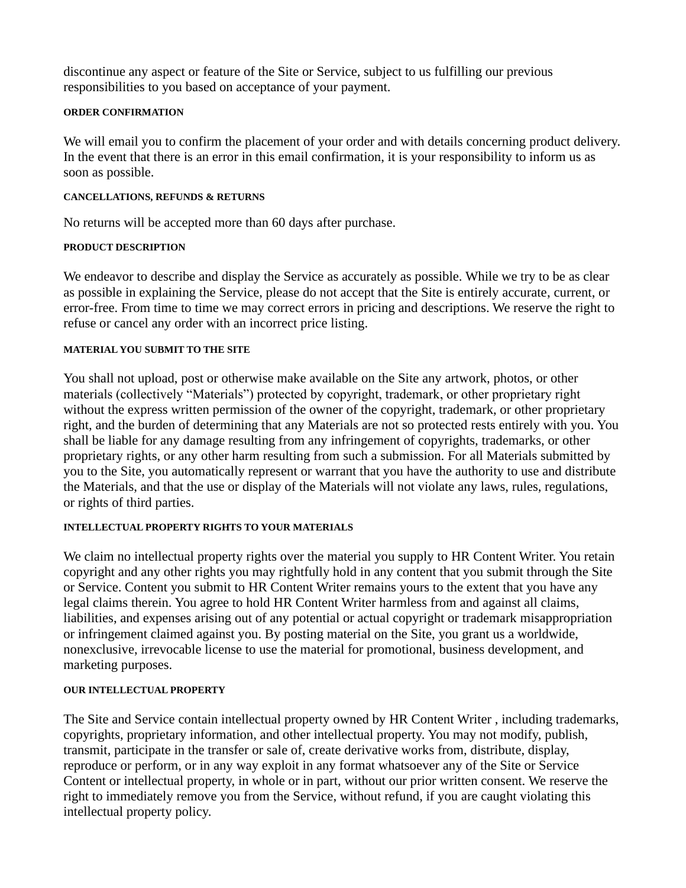discontinue any aspect or feature of the Site or Service, subject to us fulfilling our previous responsibilities to you based on acceptance of your payment.

## **ORDER CONFIRMATION**

We will email you to confirm the placement of your order and with details concerning product delivery. In the event that there is an error in this email confirmation, it is your responsibility to inform us as soon as possible.

## **CANCELLATIONS, REFUNDS & RETURNS**

No returns will be accepted more than 60 days after purchase.

## **PRODUCT DESCRIPTION**

We endeavor to describe and display the Service as accurately as possible. While we try to be as clear as possible in explaining the Service, please do not accept that the Site is entirely accurate, current, or error-free. From time to time we may correct errors in pricing and descriptions. We reserve the right to refuse or cancel any order with an incorrect price listing.

## **MATERIAL YOU SUBMIT TO THE SITE**

You shall not upload, post or otherwise make available on the Site any artwork, photos, or other materials (collectively "Materials") protected by copyright, trademark, or other proprietary right without the express written permission of the owner of the copyright, trademark, or other proprietary right, and the burden of determining that any Materials are not so protected rests entirely with you. You shall be liable for any damage resulting from any infringement of copyrights, trademarks, or other proprietary rights, or any other harm resulting from such a submission. For all Materials submitted by you to the Site, you automatically represent or warrant that you have the authority to use and distribute the Materials, and that the use or display of the Materials will not violate any laws, rules, regulations, or rights of third parties.

## **INTELLECTUAL PROPERTY RIGHTS TO YOUR MATERIALS**

We claim no intellectual property rights over the material you supply to HR Content Writer. You retain copyright and any other rights you may rightfully hold in any content that you submit through the Site or Service. Content you submit to HR Content Writer remains yours to the extent that you have any legal claims therein. You agree to hold HR Content Writer harmless from and against all claims, liabilities, and expenses arising out of any potential or actual copyright or trademark misappropriation or infringement claimed against you. By posting material on the Site, you grant us a worldwide, nonexclusive, irrevocable license to use the material for promotional, business development, and marketing purposes.

#### **OUR INTELLECTUAL PROPERTY**

The Site and Service contain intellectual property owned by HR Content Writer , including trademarks, copyrights, proprietary information, and other intellectual property. You may not modify, publish, transmit, participate in the transfer or sale of, create derivative works from, distribute, display, reproduce or perform, or in any way exploit in any format whatsoever any of the Site or Service Content or intellectual property, in whole or in part, without our prior written consent. We reserve the right to immediately remove you from the Service, without refund, if you are caught violating this intellectual property policy.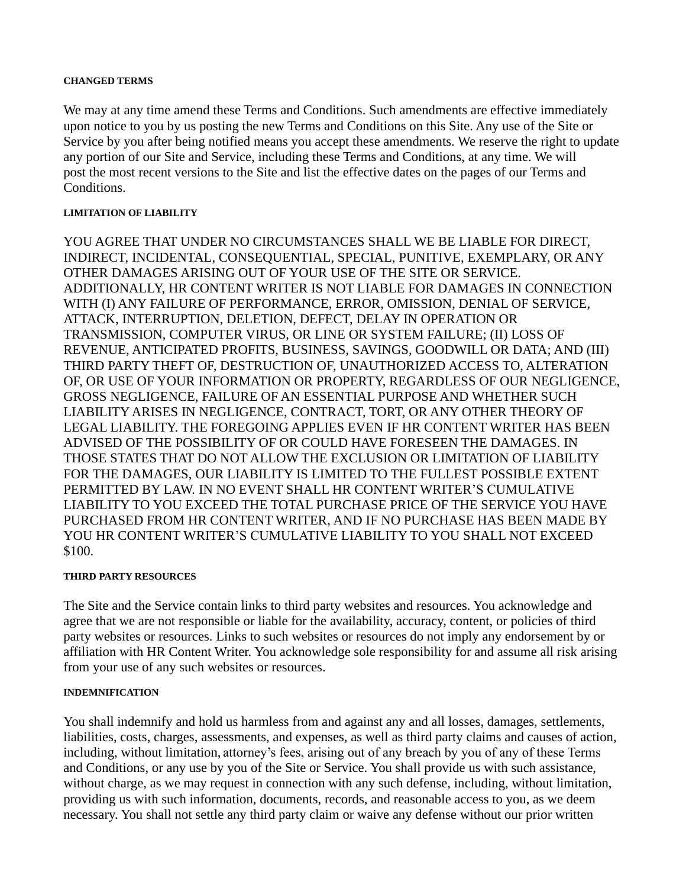#### **CHANGED TERMS**

We may at any time amend these Terms and Conditions. Such amendments are effective immediately upon notice to you by us posting the new Terms and Conditions on this Site. Any use of the Site or Service by you after being notified means you accept these amendments. We reserve the right to update any portion of our Site and Service, including these Terms and Conditions, at any time. We will post the most recent versions to the Site and list the effective dates on the pages of our Terms and Conditions.

#### **LIMITATION OF LIABILITY**

YOU AGREE THAT UNDER NO CIRCUMSTANCES SHALL WE BE LIABLE FOR DIRECT, INDIRECT, INCIDENTAL, CONSEQUENTIAL, SPECIAL, PUNITIVE, EXEMPLARY, OR ANY OTHER DAMAGES ARISING OUT OF YOUR USE OF THE SITE OR SERVICE. ADDITIONALLY, HR CONTENT WRITER IS NOT LIABLE FOR DAMAGES IN CONNECTION WITH (I) ANY FAILURE OF PERFORMANCE, ERROR, OMISSION, DENIAL OF SERVICE, ATTACK, INTERRUPTION, DELETION, DEFECT, DELAY IN OPERATION OR TRANSMISSION, COMPUTER VIRUS, OR LINE OR SYSTEM FAILURE; (II) LOSS OF REVENUE, ANTICIPATED PROFITS, BUSINESS, SAVINGS, GOODWILL OR DATA; AND (III) THIRD PARTY THEFT OF, DESTRUCTION OF, UNAUTHORIZED ACCESS TO, ALTERATION OF, OR USE OF YOUR INFORMATION OR PROPERTY, REGARDLESS OF OUR NEGLIGENCE, GROSS NEGLIGENCE, FAILURE OF AN ESSENTIAL PURPOSE AND WHETHER SUCH LIABILITY ARISES IN NEGLIGENCE, CONTRACT, TORT, OR ANY OTHER THEORY OF LEGAL LIABILITY. THE FOREGOING APPLIES EVEN IF HR CONTENT WRITER HAS BEEN ADVISED OF THE POSSIBILITY OF OR COULD HAVE FORESEEN THE DAMAGES. IN THOSE STATES THAT DO NOT ALLOW THE EXCLUSION OR LIMITATION OF LIABILITY FOR THE DAMAGES, OUR LIABILITY IS LIMITED TO THE FULLEST POSSIBLE EXTENT PERMITTED BY LAW. IN NO EVENT SHALL HR CONTENT WRITER'S CUMULATIVE LIABILITY TO YOU EXCEED THE TOTAL PURCHASE PRICE OF THE SERVICE YOU HAVE PURCHASED FROM HR CONTENT WRITER, AND IF NO PURCHASE HAS BEEN MADE BY YOU HR CONTENT WRITER'S CUMULATIVE LIABILITY TO YOU SHALL NOT EXCEED \$100.

#### **THIRD PARTY RESOURCES**

The Site and the Service contain links to third party websites and resources. You acknowledge and agree that we are not responsible or liable for the availability, accuracy, content, or policies of third party websites or resources. Links to such websites or resources do not imply any endorsement by or affiliation with HR Content Writer. You acknowledge sole responsibility for and assume all risk arising from your use of any such websites or resources.

#### **INDEMNIFICATION**

You shall indemnify and hold us harmless from and against any and all losses, damages, settlements, liabilities, costs, charges, assessments, and expenses, as well as third party claims and causes of action, including, without limitation, attorney's fees, arising out of any breach by you of any of these Terms and Conditions, or any use by you of the Site or Service. You shall provide us with such assistance, without charge, as we may request in connection with any such defense, including, without limitation, providing us with such information, documents, records, and reasonable access to you, as we deem necessary. You shall not settle any third party claim or waive any defense without our prior written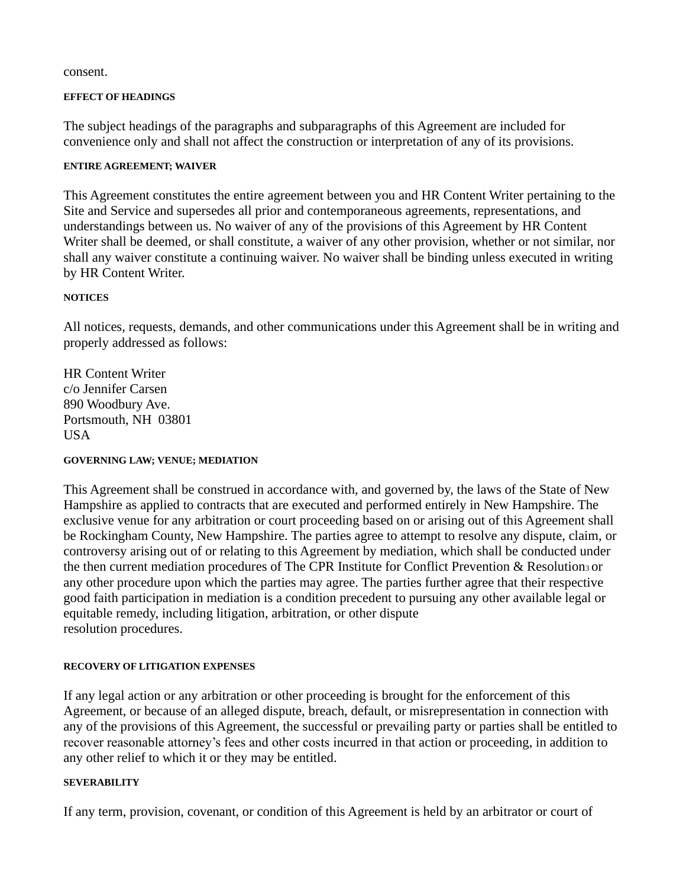consent.

#### **EFFECT OF HEADINGS**

The subject headings of the paragraphs and subparagraphs of this Agreement are included for convenience only and shall not affect the construction or interpretation of any of its provisions.

#### **ENTIRE AGREEMENT; WAIVER**

This Agreement constitutes the entire agreement between you and HR Content Writer pertaining to the Site and Service and supersedes all prior and contemporaneous agreements, representations, and understandings between us. No waiver of any of the provisions of this Agreement by HR Content Writer shall be deemed, or shall constitute, a waiver of any other provision, whether or not similar, nor shall any waiver constitute a continuing waiver. No waiver shall be binding unless executed in writing by HR Content Writer.

## **NOTICES**

All notices, requests, demands, and other communications under this Agreement shall be in writing and properly addressed as follows:

HR Content Writer c/o Jennifer Carsen 890 Woodbury Ave. Portsmouth, NH 03801 USA

#### **GOVERNING LAW; VENUE; MEDIATION**

This Agreement shall be construed in accordance with, and governed by, the laws of the State of New Hampshire as applied to contracts that are executed and performed entirely in New Hampshire. The exclusive venue for any arbitration or court proceeding based on or arising out of this Agreement shall be Rockingham County, New Hampshire. The parties agree to attempt to resolve any dispute, claim, or controversy arising out of or relating to this Agreement by mediation, which shall be conducted under the then current mediation procedures of The CPR Institute for Conflict Prevention & Resolution3 or any other procedure upon which the parties may agree. The parties further agree that their respective good faith participation in mediation is a condition precedent to pursuing any other available legal or equitable remedy, including litigation, arbitration, or other dispute resolution procedures.

#### **RECOVERY OF LITIGATION EXPENSES**

If any legal action or any arbitration or other proceeding is brought for the enforcement of this Agreement, or because of an alleged dispute, breach, default, or misrepresentation in connection with any of the provisions of this Agreement, the successful or prevailing party or parties shall be entitled to recover reasonable attorney's fees and other costs incurred in that action or proceeding, in addition to any other relief to which it or they may be entitled.

#### **SEVERABILITY**

If any term, provision, covenant, or condition of this Agreement is held by an arbitrator or court of